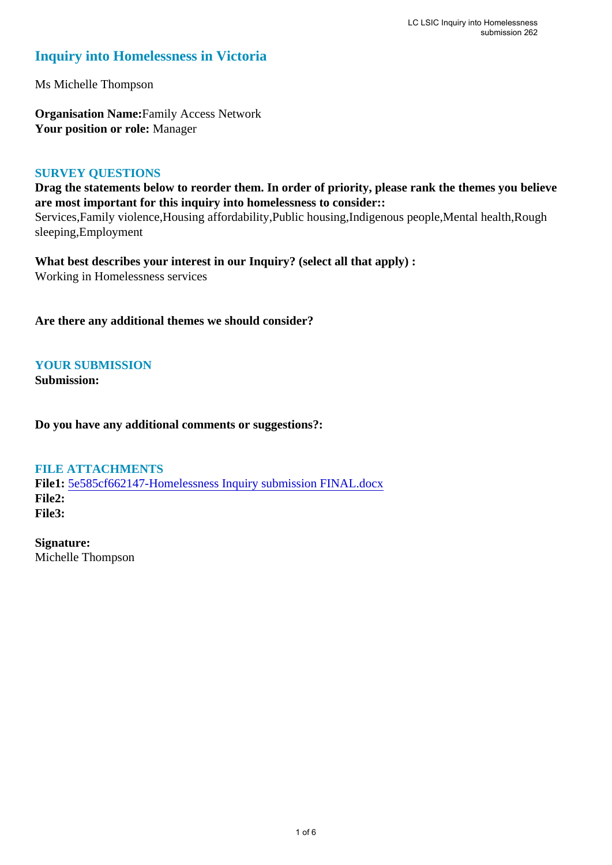# **Inquiry into Homelessness in Victoria**

Ms Michelle Thompson

**Organisation Name:**Family Access Network **Your position or role:** Manager

### **SURVEY QUESTIONS**

**Drag the statements below to reorder them. In order of priority, please rank the themes you believe are most important for this inquiry into homelessness to consider::** 

Services,Family violence,Housing affordability,Public housing,Indigenous people,Mental health,Rough sleeping,Employment

**What best describes your interest in our Inquiry? (select all that apply) :**  Working in Homelessness services

**Are there any additional themes we should consider?**

**YOUR SUBMISSION**

**Submission:** 

**Do you have any additional comments or suggestions?:** 

### **FILE ATTACHMENTS**

**File1:** [5e585cf662147-Homelessness Inquiry submission FINAL.docx](https://www.parliament.vic.gov.au/component/rsform/submission-view-file/939185dfb62af4a13f82f01e7c564421/0b42e05ef78e0322760a489c109b9104?Itemid=527) **File2: File3:** 

**Signature:** Michelle Thompson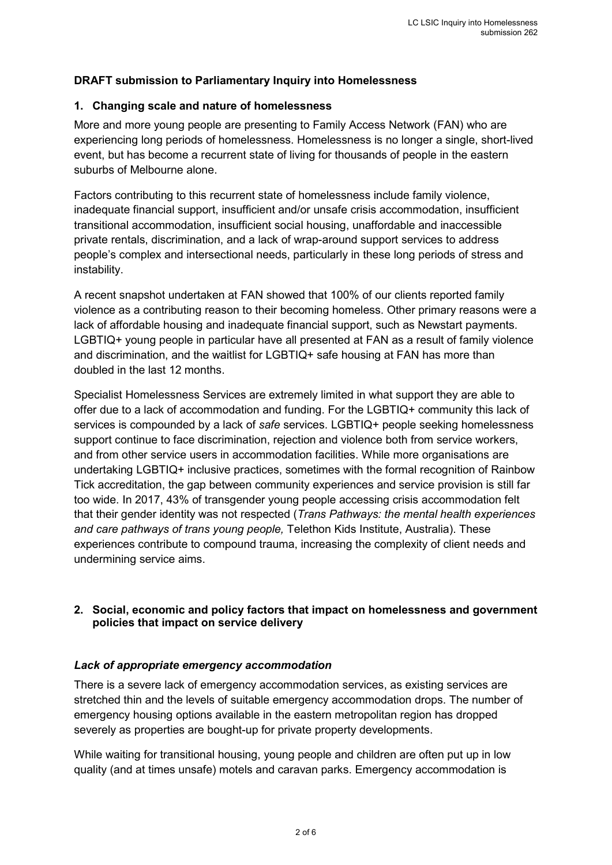### **DRAFT submission to Parliamentary Inquiry into Homelessness**

### **1. Changing scale and nature of homelessness**

More and more young people are presenting to Family Access Network (FAN) who are experiencing long periods of homelessness. Homelessness is no longer a single, short-lived event, but has become a recurrent state of living for thousands of people in the eastern suburbs of Melbourne alone.

Factors contributing to this recurrent state of homelessness include family violence, inadequate financial support, insufficient and/or unsafe crisis accommodation, insufficient transitional accommodation, insufficient social housing, unaffordable and inaccessible private rentals, discrimination, and a lack of wrap-around support services to address people's complex and intersectional needs, particularly in these long periods of stress and instability.

A recent snapshot undertaken at FAN showed that 100% of our clients reported family violence as a contributing reason to their becoming homeless. Other primary reasons were a lack of affordable housing and inadequate financial support, such as Newstart payments. LGBTIQ+ young people in particular have all presented at FAN as a result of family violence and discrimination, and the waitlist for LGBTIQ+ safe housing at FAN has more than doubled in the last 12 months.

Specialist Homelessness Services are extremely limited in what support they are able to offer due to a lack of accommodation and funding. For the LGBTIQ+ community this lack of services is compounded by a lack of *safe* services. LGBTIQ+ people seeking homelessness support continue to face discrimination, rejection and violence both from service workers, and from other service users in accommodation facilities. While more organisations are undertaking LGBTIQ+ inclusive practices, sometimes with the formal recognition of Rainbow Tick accreditation, the gap between community experiences and service provision is still far too wide. In 2017, 43% of transgender young people accessing crisis accommodation felt that their gender identity was not respected (*Trans Pathways: the mental health experiences and care pathways of trans young people,* Telethon Kids Institute, Australia). These experiences contribute to compound trauma, increasing the complexity of client needs and undermining service aims.

### **2. Social, economic and policy factors that impact on homelessness and government policies that impact on service delivery**

### *Lack of appropriate emergency accommodation*

There is a severe lack of emergency accommodation services, as existing services are stretched thin and the levels of suitable emergency accommodation drops. The number of emergency housing options available in the eastern metropolitan region has dropped severely as properties are bought-up for private property developments.

While waiting for transitional housing, young people and children are often put up in low quality (and at times unsafe) motels and caravan parks. Emergency accommodation is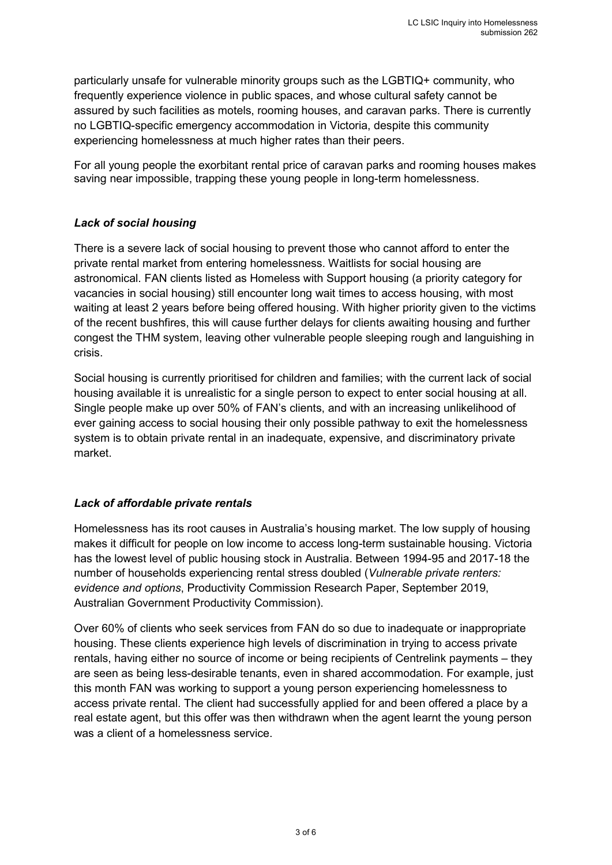particularly unsafe for vulnerable minority groups such as the LGBTIQ+ community, who frequently experience violence in public spaces, and whose cultural safety cannot be assured by such facilities as motels, rooming houses, and caravan parks. There is currently no LGBTIQ-specific emergency accommodation in Victoria, despite this community experiencing homelessness at much higher rates than their peers.

For all young people the exorbitant rental price of caravan parks and rooming houses makes saving near impossible, trapping these young people in long-term homelessness.

# *Lack of social housing*

There is a severe lack of social housing to prevent those who cannot afford to enter the private rental market from entering homelessness. Waitlists for social housing are astronomical. FAN clients listed as Homeless with Support housing (a priority category for vacancies in social housing) still encounter long wait times to access housing, with most waiting at least 2 years before being offered housing. With higher priority given to the victims of the recent bushfires, this will cause further delays for clients awaiting housing and further congest the THM system, leaving other vulnerable people sleeping rough and languishing in crisis.

Social housing is currently prioritised for children and families; with the current lack of social housing available it is unrealistic for a single person to expect to enter social housing at all. Single people make up over 50% of FAN's clients, and with an increasing unlikelihood of ever gaining access to social housing their only possible pathway to exit the homelessness system is to obtain private rental in an inadequate, expensive, and discriminatory private market.

# *Lack of affordable private rentals*

Homelessness has its root causes in Australia's housing market. The low supply of housing makes it difficult for people on low income to access long-term sustainable housing. Victoria has the lowest level of public housing stock in Australia. Between 1994-95 and 2017-18 the number of households experiencing rental stress doubled (*Vulnerable private renters: evidence and options*, Productivity Commission Research Paper, September 2019, Australian Government Productivity Commission).

Over 60% of clients who seek services from FAN do so due to inadequate or inappropriate housing. These clients experience high levels of discrimination in trying to access private rentals, having either no source of income or being recipients of Centrelink payments – they are seen as being less-desirable tenants, even in shared accommodation. For example, just this month FAN was working to support a young person experiencing homelessness to access private rental. The client had successfully applied for and been offered a place by a real estate agent, but this offer was then withdrawn when the agent learnt the young person was a client of a homelessness service.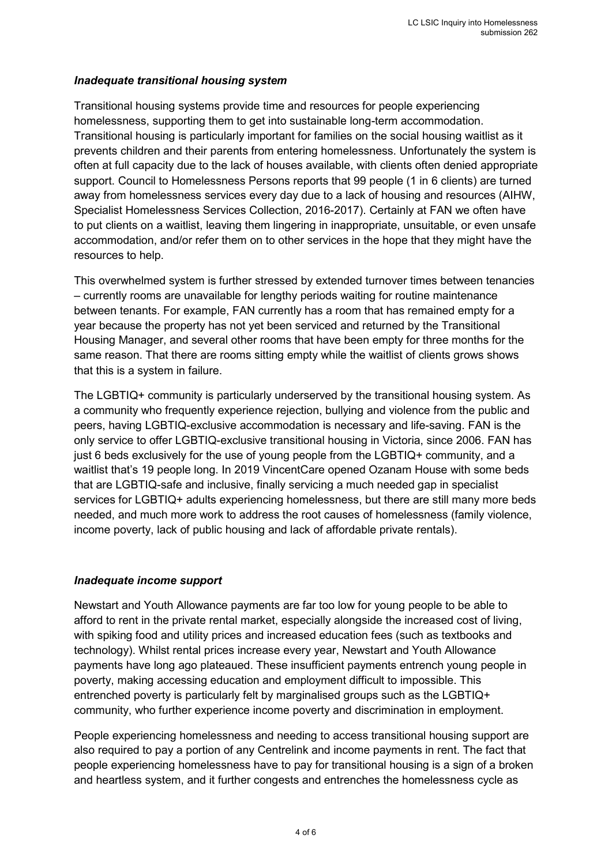### *Inadequate transitional housing system*

Transitional housing systems provide time and resources for people experiencing homelessness, supporting them to get into sustainable long-term accommodation. Transitional housing is particularly important for families on the social housing waitlist as it prevents children and their parents from entering homelessness. Unfortunately the system is often at full capacity due to the lack of houses available, with clients often denied appropriate support. Council to Homelessness Persons reports that 99 people (1 in 6 clients) are turned away from homelessness services every day due to a lack of housing and resources (AIHW, Specialist Homelessness Services Collection, 2016-2017). Certainly at FAN we often have to put clients on a waitlist, leaving them lingering in inappropriate, unsuitable, or even unsafe accommodation, and/or refer them on to other services in the hope that they might have the resources to help.

This overwhelmed system is further stressed by extended turnover times between tenancies – currently rooms are unavailable for lengthy periods waiting for routine maintenance between tenants. For example, FAN currently has a room that has remained empty for a year because the property has not yet been serviced and returned by the Transitional Housing Manager, and several other rooms that have been empty for three months for the same reason. That there are rooms sitting empty while the waitlist of clients grows shows that this is a system in failure.

The LGBTIQ+ community is particularly underserved by the transitional housing system. As a community who frequently experience rejection, bullying and violence from the public and peers, having LGBTIQ-exclusive accommodation is necessary and life-saving. FAN is the only service to offer LGBTIQ-exclusive transitional housing in Victoria, since 2006. FAN has just 6 beds exclusively for the use of young people from the LGBTIQ+ community, and a waitlist that's 19 people long. In 2019 VincentCare opened Ozanam House with some beds that are LGBTIQ-safe and inclusive, finally servicing a much needed gap in specialist services for LGBTIQ+ adults experiencing homelessness, but there are still many more beds needed, and much more work to address the root causes of homelessness (family violence, income poverty, lack of public housing and lack of affordable private rentals).

# *Inadequate income support*

Newstart and Youth Allowance payments are far too low for young people to be able to afford to rent in the private rental market, especially alongside the increased cost of living, with spiking food and utility prices and increased education fees (such as textbooks and technology). Whilst rental prices increase every year, Newstart and Youth Allowance payments have long ago plateaued. These insufficient payments entrench young people in poverty, making accessing education and employment difficult to impossible. This entrenched poverty is particularly felt by marginalised groups such as the LGBTIQ+ community, who further experience income poverty and discrimination in employment.

People experiencing homelessness and needing to access transitional housing support are also required to pay a portion of any Centrelink and income payments in rent. The fact that people experiencing homelessness have to pay for transitional housing is a sign of a broken and heartless system, and it further congests and entrenches the homelessness cycle as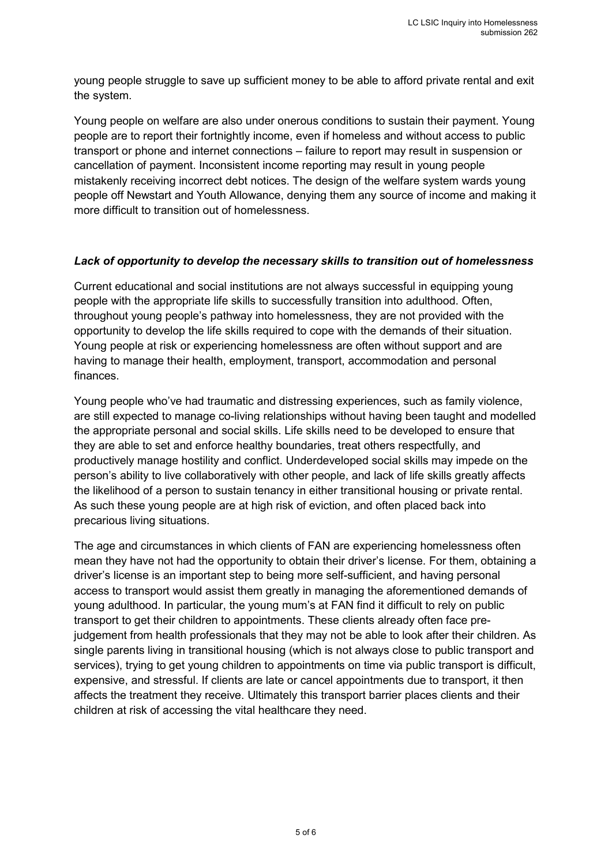young people struggle to save up sufficient money to be able to afford private rental and exit the system.

Young people on welfare are also under onerous conditions to sustain their payment. Young people are to report their fortnightly income, even if homeless and without access to public transport or phone and internet connections – failure to report may result in suspension or cancellation of payment. Inconsistent income reporting may result in young people mistakenly receiving incorrect debt notices. The design of the welfare system wards young people off Newstart and Youth Allowance, denying them any source of income and making it more difficult to transition out of homelessness.

### *Lack of opportunity to develop the necessary skills to transition out of homelessness*

Current educational and social institutions are not always successful in equipping young people with the appropriate life skills to successfully transition into adulthood. Often, throughout young people's pathway into homelessness, they are not provided with the opportunity to develop the life skills required to cope with the demands of their situation. Young people at risk or experiencing homelessness are often without support and are having to manage their health, employment, transport, accommodation and personal finances.

Young people who've had traumatic and distressing experiences, such as family violence, are still expected to manage co-living relationships without having been taught and modelled the appropriate personal and social skills. Life skills need to be developed to ensure that they are able to set and enforce healthy boundaries, treat others respectfully, and productively manage hostility and conflict. Underdeveloped social skills may impede on the person's ability to live collaboratively with other people, and lack of life skills greatly affects the likelihood of a person to sustain tenancy in either transitional housing or private rental. As such these young people are at high risk of eviction, and often placed back into precarious living situations.

The age and circumstances in which clients of FAN are experiencing homelessness often mean they have not had the opportunity to obtain their driver's license. For them, obtaining a driver's license is an important step to being more self-sufficient, and having personal access to transport would assist them greatly in managing the aforementioned demands of young adulthood. In particular, the young mum's at FAN find it difficult to rely on public transport to get their children to appointments. These clients already often face prejudgement from health professionals that they may not be able to look after their children. As single parents living in transitional housing (which is not always close to public transport and services), trying to get young children to appointments on time via public transport is difficult, expensive, and stressful. If clients are late or cancel appointments due to transport, it then affects the treatment they receive. Ultimately this transport barrier places clients and their children at risk of accessing the vital healthcare they need.